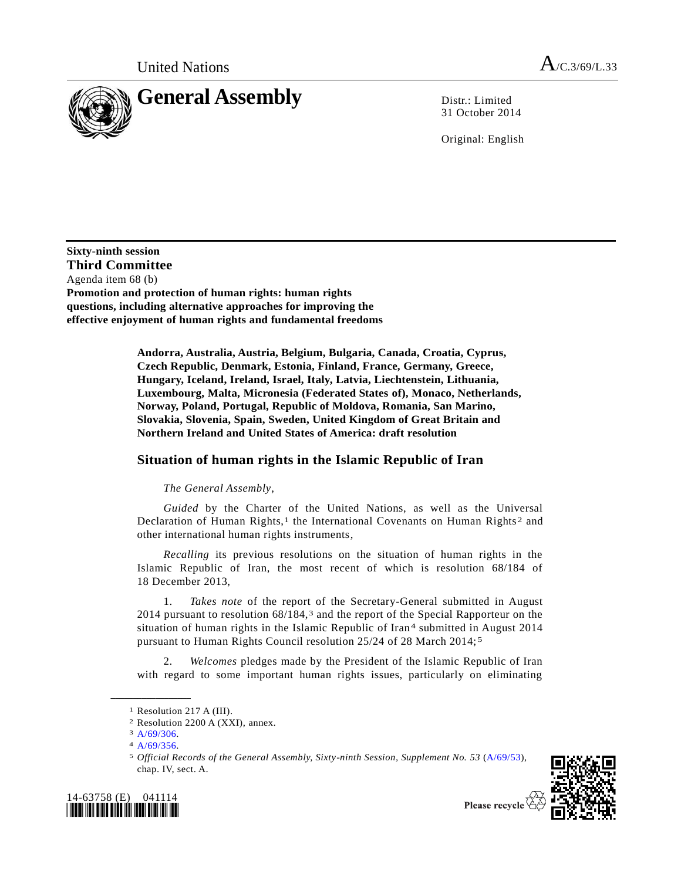

31 October 2014

Original: English

**Sixty-ninth session Third Committee** Agenda item 68 (b) **Promotion and protection of human rights: human rights questions, including alternative approaches for improving the effective enjoyment of human rights and fundamental freedoms**

> **Andorra, Australia, Austria, Belgium, Bulgaria, Canada, Croatia, Cyprus, Czech Republic, Denmark, Estonia, Finland, France, Germany, Greece, Hungary, Iceland, Ireland, Israel, Italy, Latvia, Liechtenstein, Lithuania, Luxembourg, Malta, Micronesia (Federated States of), Monaco, Netherlands, Norway, Poland, Portugal, Republic of Moldova, Romania, San Marino, Slovakia, Slovenia, Spain, Sweden, United Kingdom of Great Britain and Northern Ireland and United States of America: draft resolution**

## **Situation of human rights in the Islamic Republic of Iran**

## *The General Assembly*,

*Guided* by the Charter of the United Nations, as well as the Universal Declaration of Human Rights,<sup>1</sup> the International Covenants on Human Rights<sup>2</sup> and other international human rights instruments,

*Recalling* its previous resolutions on the situation of human rights in the Islamic Republic of Iran, the most recent of which is resolution 68/184 of 18 December 2013,

1. *Takes note* of the report of the Secretary-General submitted in August 2014 pursuant to resolution 68/184,3 and the report of the Special Rapporteur on the situation of human rights in the Islamic Republic of Iran<sup>4</sup> submitted in August 2014 pursuant to Human Rights Council resolution 25/24 of 28 March 2014; 5

2. *Welcomes* pledges made by the President of the Islamic Republic of Iran with regard to some important human rights issues, particularly on eliminating

<sup>5</sup> *Official Records of the General Assembly, Sixty-ninth Session, Supplement No. 53* [\(A/69/53\)](http://undocs.org/A/69/53), chap. IV, sect. A.





<sup>1</sup> Resolution 217 A (III).

<sup>2</sup> Resolution 2200 A (XXI), annex.

 $3 A/69/306.$  $3 A/69/306.$ 

 $4 A/69/356.$  $4 A/69/356.$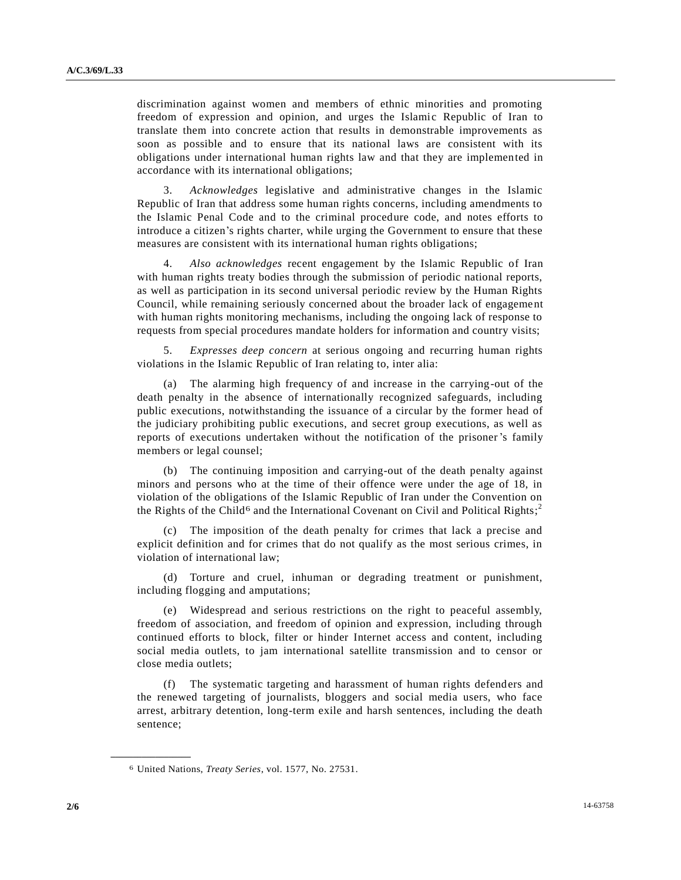discrimination against women and members of ethnic minorities and promoting freedom of expression and opinion, and urges the Islamic Republic of Iran to translate them into concrete action that results in demonstrable improvements as soon as possible and to ensure that its national laws are consistent with its obligations under international human rights law and that they are implemented in accordance with its international obligations;

3. *Acknowledges* legislative and administrative changes in the Islamic Republic of Iran that address some human rights concerns, including amendments to the Islamic Penal Code and to the criminal procedure code, and notes efforts to introduce a citizen's rights charter, while urging the Government to ensure that these measures are consistent with its international human rights obligations;

4. *Also acknowledges* recent engagement by the Islamic Republic of Iran with human rights treaty bodies through the submission of periodic national reports, as well as participation in its second universal periodic review by the Human Rights Council, while remaining seriously concerned about the broader lack of engagement with human rights monitoring mechanisms, including the ongoing lack of response to requests from special procedures mandate holders for information and country visits;

5. *Expresses deep concern* at serious ongoing and recurring human rights violations in the Islamic Republic of Iran relating to, inter alia:

The alarming high frequency of and increase in the carrying-out of the death penalty in the absence of internationally recognized safeguards, including public executions, notwithstanding the issuance of a circular by the former head of the judiciary prohibiting public executions, and secret group executions, as well as reports of executions undertaken without the notification of the prisoner's family members or legal counsel;

(b) The continuing imposition and carrying-out of the death penalty against minors and persons who at the time of their offence were under the age of 18, in violation of the obligations of the Islamic Republic of Iran under the Convention on the Rights of the Child<sup>6</sup> and the International Covenant on Civil and Political Rights;<sup>2</sup>

(c) The imposition of the death penalty for crimes that lack a precise and explicit definition and for crimes that do not qualify as the most serious crimes, in violation of international law;

(d) Torture and cruel, inhuman or degrading treatment or punishment, including flogging and amputations;

(e) Widespread and serious restrictions on the right to peaceful assembly, freedom of association, and freedom of opinion and expression, including through continued efforts to block, filter or hinder Internet access and content, including social media outlets, to jam international satellite transmission and to censor or close media outlets;

(f) The systematic targeting and harassment of human rights defenders and the renewed targeting of journalists, bloggers and social media users, who face arrest, arbitrary detention, long-term exile and harsh sentences, including the death sentence;

<sup>6</sup> United Nations, *Treaty Series*, vol. 1577, No. 27531.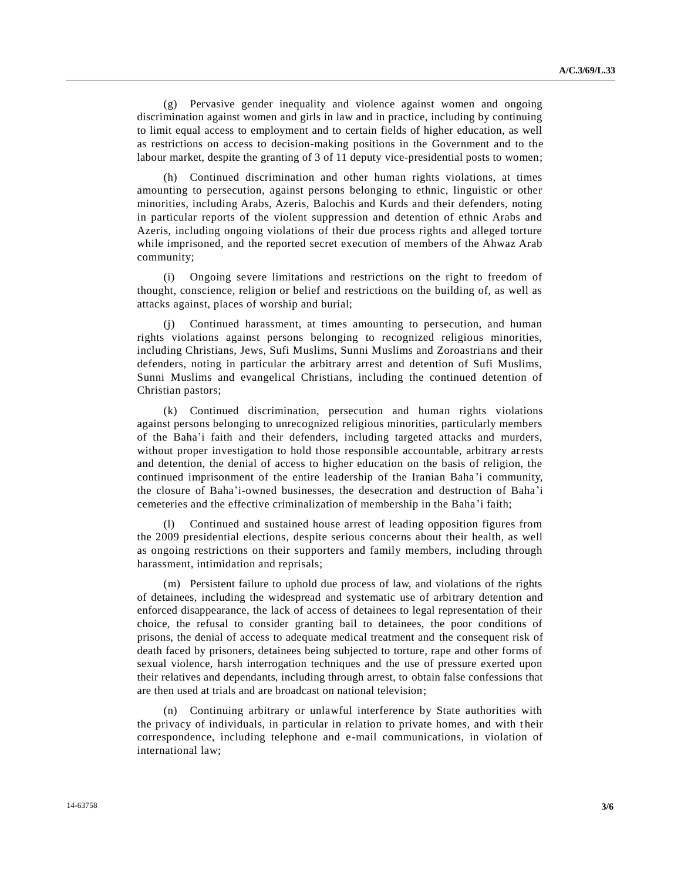(g) Pervasive gender inequality and violence against women and ongoing discrimination against women and girls in law and in practice, including by continuing to limit equal access to employment and to certain fields of higher education, as well as restrictions on access to decision-making positions in the Government and to the labour market, despite the granting of 3 of 11 deputy vice-presidential posts to women;

(h) Continued discrimination and other human rights violations, at times amounting to persecution, against persons belonging to ethnic, linguistic or other minorities, including Arabs, Azeris, Balochis and Kurds and their defenders, noting in particular reports of the violent suppression and detention of ethnic Arabs and Azeris, including ongoing violations of their due process rights and alleged torture while imprisoned, and the reported secret execution of members of the Ahwaz Arab community;

(i) Ongoing severe limitations and restrictions on the right to freedom of thought, conscience, religion or belief and restrictions on the building of, as well as attacks against, places of worship and burial;

(j) Continued harassment, at times amounting to persecution, and human rights violations against persons belonging to recognized religious minorities, including Christians, Jews, Sufi Muslims, Sunni Muslims and Zoroastrians and their defenders, noting in particular the arbitrary arrest and detention of Sufi Muslims, Sunni Muslims and evangelical Christians, including the continued detention of Christian pastors;

(k) Continued discrimination, persecution and human rights violations against persons belonging to unrecognized religious minorities, particularly members of the Baha'i faith and their defenders, including targeted attacks and murders, without proper investigation to hold those responsible accountable, arbitrary arrests and detention, the denial of access to higher education on the basis of religion, the continued imprisonment of the entire leadership of the Iranian Baha 'i community, the closure of Baha'i-owned businesses, the desecration and destruction of Baha'i cemeteries and the effective criminalization of membership in the Baha 'i faith;

(l) Continued and sustained house arrest of leading opposition figures from the 2009 presidential elections, despite serious concerns about their health, as well as ongoing restrictions on their supporters and family members, including through harassment, intimidation and reprisals;

(m) Persistent failure to uphold due process of law, and violations of the rights of detainees, including the widespread and systematic use of arbitrary detention and enforced disappearance, the lack of access of detainees to legal representation of their choice, the refusal to consider granting bail to detainees, the poor conditions of prisons, the denial of access to adequate medical treatment and the consequent risk of death faced by prisoners, detainees being subjected to torture, rape and other forms of sexual violence, harsh interrogation techniques and the use of pressure exerted upon their relatives and dependants, including through arrest, to obtain false confessions that are then used at trials and are broadcast on national television;

(n) Continuing arbitrary or unlawful interference by State authorities with the privacy of individuals, in particular in relation to private homes, and with t heir correspondence, including telephone and e-mail communications, in violation of international law;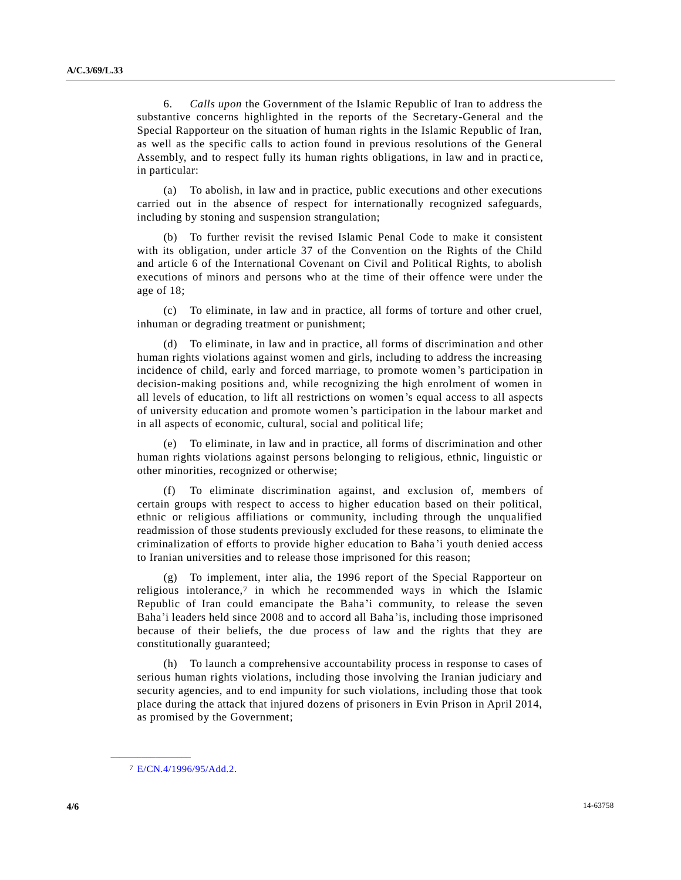6. *Calls upon* the Government of the Islamic Republic of Iran to address the substantive concerns highlighted in the reports of the Secretary-General and the Special Rapporteur on the situation of human rights in the Islamic Republic of Iran, as well as the specific calls to action found in previous resolutions of the General Assembly, and to respect fully its human rights obligations, in law and in practi ce, in particular:

(a) To abolish, in law and in practice, public executions and other executions carried out in the absence of respect for internationally recognized safeguards, including by stoning and suspension strangulation;

(b) To further revisit the revised Islamic Penal Code to make it consistent with its obligation, under article 37 of the Convention on the Rights of the Child and article 6 of the International Covenant on Civil and Political Rights, to abolish executions of minors and persons who at the time of their offence were under the age of 18;

(c) To eliminate, in law and in practice, all forms of torture and other cruel, inhuman or degrading treatment or punishment;

(d) To eliminate, in law and in practice, all forms of discrimination and other human rights violations against women and girls, including to address the increasing incidence of child, early and forced marriage, to promote women's participation in decision-making positions and, while recognizing the high enrolment of women in all levels of education, to lift all restrictions on women's equal access to all aspects of university education and promote women's participation in the labour market and in all aspects of economic, cultural, social and political life;

(e) To eliminate, in law and in practice, all forms of discrimination and other human rights violations against persons belonging to religious, ethnic, linguistic or other minorities, recognized or otherwise;

(f) To eliminate discrimination against, and exclusion of, members of certain groups with respect to access to higher education based on their political, ethnic or religious affiliations or community, including through the unqualified readmission of those students previously excluded for these reasons, to eliminate the criminalization of efforts to provide higher education to Baha 'i youth denied access to Iranian universities and to release those imprisoned for this reason;

(g) To implement, inter alia, the 1996 report of the Special Rapporteur on religious intolerance,<sup>7</sup> in which he recommended ways in which the Islamic Republic of Iran could emancipate the Baha'i community, to release the seven Baha'i leaders held since 2008 and to accord all Baha'is, including those imprisoned because of their beliefs, the due process of law and the rights that they are constitutionally guaranteed;

(h) To launch a comprehensive accountability process in response to cases of serious human rights violations, including those involving the Iranian judiciary and security agencies, and to end impunity for such violations, including those that took place during the attack that injured dozens of prisoners in Evin Prison in April 2014, as promised by the Government;

<sup>7</sup> [E/CN.4/1996/95/Add.2.](http://undocs.org/E/CN.4/1996/95/Add.2)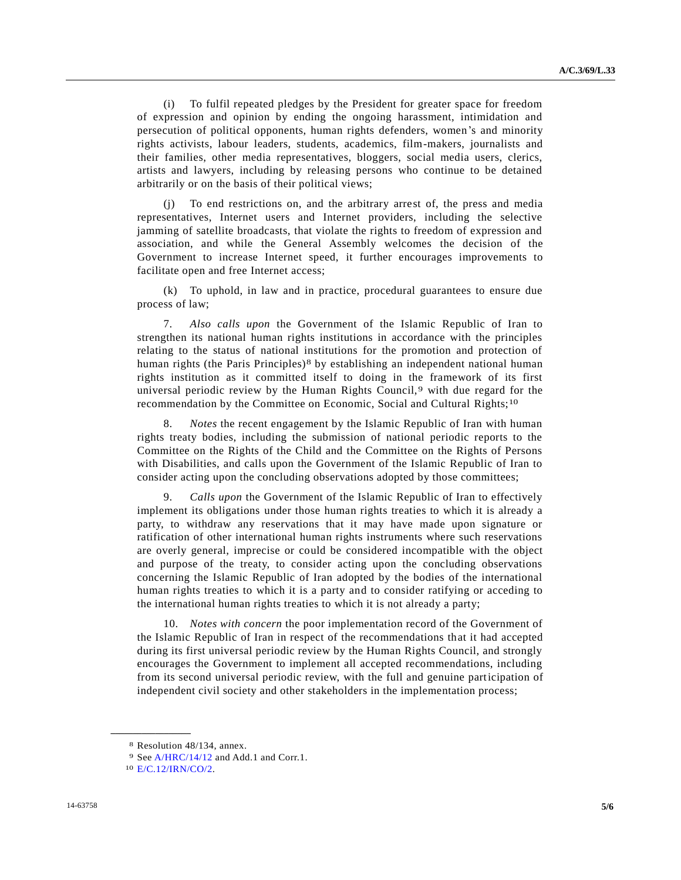(i) To fulfil repeated pledges by the President for greater space for freedom of expression and opinion by ending the ongoing harassment, intimidation and persecution of political opponents, human rights defenders, women's and minority rights activists, labour leaders, students, academics, film-makers, journalists and their families, other media representatives, bloggers, social media users, clerics, artists and lawyers, including by releasing persons who continue to be detained arbitrarily or on the basis of their political views;

(j) To end restrictions on, and the arbitrary arrest of, the press and media representatives, Internet users and Internet providers, including the selective jamming of satellite broadcasts, that violate the rights to freedom of expression and association, and while the General Assembly welcomes the decision of the Government to increase Internet speed, it further encourages improvements to facilitate open and free Internet access;

(k) To uphold, in law and in practice, procedural guarantees to ensure due process of law;

7. *Also calls upon* the Government of the Islamic Republic of Iran to strengthen its national human rights institutions in accordance with the principles relating to the status of national institutions for the promotion and protection of human rights (the Paris Principles)<sup>8</sup> by establishing an independent national human rights institution as it committed itself to doing in the framework of its first universal periodic review by the Human Rights Council,<sup>9</sup> with due regard for the recommendation by the Committee on Economic, Social and Cultural Rights;<sup>10</sup>

8. *Notes* the recent engagement by the Islamic Republic of Iran with human rights treaty bodies, including the submission of national periodic reports to the Committee on the Rights of the Child and the Committee on the Rights of Persons with Disabilities, and calls upon the Government of the Islamic Republic of Iran to consider acting upon the concluding observations adopted by those committees;

9. *Calls upon* the Government of the Islamic Republic of Iran to effectively implement its obligations under those human rights treaties to which it is already a party, to withdraw any reservations that it may have made upon signature or ratification of other international human rights instruments where such reservations are overly general, imprecise or could be considered incompatible with the object and purpose of the treaty, to consider acting upon the concluding observations concerning the Islamic Republic of Iran adopted by the bodies of the international human rights treaties to which it is a party and to consider ratifying or acceding to the international human rights treaties to which it is not already a party;

10. *Notes with concern* the poor implementation record of the Government of the Islamic Republic of Iran in respect of the recommendations that it had accepted during its first universal periodic review by the Human Rights Council, and strongly encourages the Government to implement all accepted recommendations, including from its second universal periodic review, with the full and genuine participation of independent civil society and other stakeholders in the implementation process;

<sup>8</sup> Resolution 48/134, annex.

<sup>9</sup> See [A/HRC/14/12](http://undocs.org/A/HRC/14/12) and Add.1 and Corr.1.

<sup>10</sup> [E/C.12/IRN/CO/2.](http://undocs.org/E/C.12/IRN/CO/2)